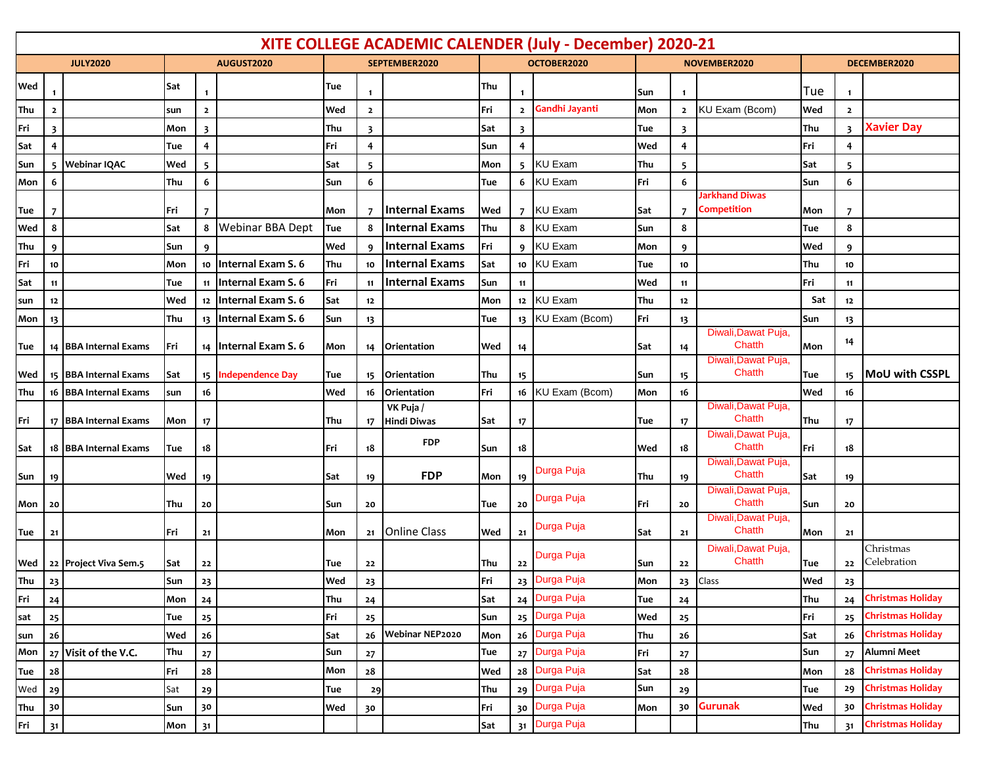| XITE COLLEGE ACADEMIC CALENDER (July - December) 2020-21 |              |                       |     |                |                           |            |                         |                          |            |                 |                   |              |                |                               |            |                         |                          |
|----------------------------------------------------------|--------------|-----------------------|-----|----------------|---------------------------|------------|-------------------------|--------------------------|------------|-----------------|-------------------|--------------|----------------|-------------------------------|------------|-------------------------|--------------------------|
| <b>JULY2020</b>                                          |              | AUGUST2020            |     | SEPTEMBER2020  |                           |            | OCTOBER2020             |                          |            |                 | NOVEMBER2020      | DECEMBER2020 |                |                               |            |                         |                          |
| Wed                                                      |              |                       | Sat |                |                           | Tue        | 1                       |                          | Thu        | -1              |                   | Sun          | $\mathbf{1}$   |                               | Tue        | $\mathbf{1}$            |                          |
| Thu                                                      | $\mathbf{z}$ |                       | sun | $\overline{2}$ |                           | Wed        | $\overline{2}$          |                          | Fri        | $\overline{2}$  | Gandhi Jayanti    | Mon          | $\overline{2}$ | KU Exam (Bcom)                | Wed        | $\overline{2}$          |                          |
| Fri                                                      | 3            |                       | Mon | 3              |                           | Thu        | $\overline{\mathbf{3}}$ |                          | Sat        | 3               |                   | Tue          | 3              |                               | Thu        | $\overline{\mathbf{3}}$ | <b>Xavier Day</b>        |
| Sat                                                      | 4            |                       | Tue | 4              |                           | Fri        | 4                       |                          | Sun        | $\overline{4}$  |                   | Wed          | 4              |                               | Fri        | 4                       |                          |
| Sun                                                      | 5.           | <b>Webinar IQAC</b>   | Wed | 5              |                           | Sat        | 5                       |                          | Mon        |                 | 5 KU Exam         | Thu          | 5              |                               | Sat        | 5                       |                          |
| Mon                                                      | 6            |                       | Thu | 6              |                           | Sun        | 6                       |                          | Tue        | 6               | <b>KU Exam</b>    | Fri          | 6              |                               | Sun        | 6                       |                          |
|                                                          |              |                       |     |                |                           |            |                         |                          |            |                 |                   |              |                | Jarkhand Diwas                |            |                         |                          |
| Tue                                                      | 7            |                       | Fri | 7              |                           | Mon        | $\overline{7}$          | Internal Exams           | Wed        |                 | 7 KU Exam         | Sat          | 7              | <b>Competition</b>            | Mon        | 7                       |                          |
| Wed                                                      | 8            |                       | Sat | 8              | <b>Webinar BBA Dept</b>   | Tue        | 8                       | Internal Exams           | Thu        |                 | 8 KU Exam         | Sun          | 8              |                               | Tue        | 8                       |                          |
| Thu                                                      | 9            |                       | Sun | 9              |                           | Wed        | 9                       | <b>Internal Exams</b>    | Fri        |                 | 9 KU Exam         | Mon          | 9              |                               | Wed        | 9                       |                          |
| Fri                                                      | 10           |                       | Mon | 10             | Internal Exam S. 6        | Thu        | 10                      | <b>Internal Exams</b>    | Sat        |                 | 10 KU Exam        | Tue          | 10             |                               | Thu        | 10                      |                          |
| Sat                                                      | 11           |                       | Tue | 11             | <b>Internal Exam S. 6</b> | Fri        | 11                      | Internal Exams           | Sun        | 11              |                   | Wed          | 11             |                               | Fri        | 11                      |                          |
| sun                                                      | 12           |                       | Wed |                | 12 Internal Exam S. 6     | Sat        | 12                      |                          | Mon        | 12 <sub>2</sub> | <b>KU Exam</b>    | Thu          | 12             |                               | Sat        | 12                      |                          |
| Mon                                                      | 13           |                       | Thu |                | 13 Internal Exam S. 6     | Sun        | 13                      |                          | Tue        |                 | 13 KU Exam (Bcom) | Fri          | 13             | Diwali, Dawat Puja,           | Sun        | 13                      |                          |
| Tue                                                      |              | 14 BBA Internal Exams | Fri |                | 14   Internal Exam S. 6   | Mon        | 14                      | <b>Orientation</b>       | Wed        | 14              |                   | Sat          | 14             | Chatth                        | Mon        | 14                      |                          |
|                                                          |              |                       |     |                |                           |            |                         |                          |            |                 |                   |              |                | Diwali, Dawat Puja,<br>Chatth |            |                         | MoU with CSSPL           |
| Wed                                                      |              | 15 BBA Internal Exams | Sat | 16             | 15 Independence Day       | Tue<br>Wed | 15 <sub>15</sub>        | Orientation              | Thu<br>Fri | 15<br>16        |                   | Sun          | 15<br>16       |                               | Tue<br>Wed | 15                      |                          |
| Thu                                                      |              | 16 BBA Internal Exams | sun |                |                           |            | 16                      | Orientation<br>VK Puja / |            |                 | KU Exam (Bcom)    | Mon          |                | Diwali, Dawat Puja,           |            | 16                      |                          |
| Fri                                                      |              | 17 BBA Internal Exams | Mon | 17             |                           | Thu        | 17 <sup>17</sup>        | Hindi Diwas              | Sat        | 17              |                   | Tue          | 17             | Chatth                        | Thu        | 17                      |                          |
|                                                          |              |                       |     |                |                           |            |                         | <b>FDP</b>               |            |                 |                   |              |                | Diwali, Dawat Puja,<br>Chatth |            |                         |                          |
| Sat                                                      |              | 18 BBA Internal Exams | Tue | 18             |                           | Fri        | 18                      |                          | Sun        | 18              |                   | Wed          | 18             | Diwali, Dawat Puja,           | Fri        | 18                      |                          |
| Sun                                                      | 19           |                       | Wed | 19             |                           | Sat        | 19                      | <b>FDP</b>               | Mon        | 19              | Durga Puja        | Thu          | 19             | Chatth                        | Sat        | 19                      |                          |
|                                                          |              |                       |     |                |                           |            |                         |                          |            |                 | Durga Puja        |              |                | Diwali, Dawat Puja,           |            |                         |                          |
| Mon                                                      | 20           |                       | Thu | 20             |                           | Sun        | 20                      |                          | Tue        | 20              |                   | Fri          | 20             | Chatth<br>Diwali, Dawat Puja, | Sun        | 20                      |                          |
| Tue                                                      | 21           |                       | Fri | 21             |                           | Mon        | 21                      | <b>Online Class</b>      | Wed        | 21              | Durga Puja        | Sat          | 21             | Chatth                        | Mon        | 21                      |                          |
|                                                          |              |                       |     |                |                           |            |                         |                          |            |                 | Durga Puja        |              |                | Diwali, Dawat Puja,           |            |                         | Christmas                |
| Wed                                                      |              | 22 Project Viva Sem.5 | Sat | 22             |                           | Tue        | 22                      |                          | Thu        | 22              |                   | Sun          | 22             | Chatth                        | Tue        | 22                      | Celebration              |
| Thu                                                      | 23           |                       | Sun | 23             |                           | Wed        | 23                      |                          | Fri        |                 | 23 Durga Puja     | Mon          |                | 23 Class                      | Wed        | 23                      |                          |
| Fri                                                      | 24           |                       | Mon | 24             |                           | Thu        | 24                      |                          | Sat        |                 | 24 Durga Puja     | Tue          | 24             |                               | Thu        | 24                      | <b>Christmas Holiday</b> |
| sat                                                      | 25           |                       | Tue | 25             |                           | Fri        | 25                      |                          | Sun        |                 | 25 Durga Puja     | Wed          | 25             |                               | Fri        | 25                      | <b>Christmas Holiday</b> |
| sun                                                      | $26$         |                       | Wed | ${\bf 26}$     |                           | Sat        | 26                      | <b>Webinar NEP2020</b>   | Mon        |                 | 26 Durga Puja     | Thu          | ${\bf 26}$     |                               | Sat        | 26                      | <b>Christmas Holiday</b> |
| Mon                                                      |              | 27 Visit of the V.C.  | Thu | 27             |                           | Sun        | 27                      |                          | Tue        | 27              | Durga Puja        | Fri          | $\mathbf{27}$  |                               | Sun        | 27                      | Alumni Meet              |
| Tue                                                      | 28           |                       | Fri | ${\bf 28}$     |                           | Mon        | 28                      |                          | Wed        |                 | 28 Durga Puja     | Sat          | ${\bf 28}$     |                               | Mon        | 28                      | Christmas Holiday        |
| Wed                                                      | 29           |                       | Sat | 29             |                           | Tue        | 29                      |                          | Thu        |                 | 29 Durga Puja     | Sun          | 29             |                               | Tue        | 29                      | Christmas Holiday        |
| Thu                                                      | 30           |                       | Sun | 30             |                           | Wed        | 30                      |                          | Fri        | 30              | Durga Puja        | Mon          | 30             | Gurunak                       | Wed        | 30                      | Christmas Holiday        |
| Fri                                                      | 31           |                       | Mon | 31             |                           |            |                         |                          | Sat        |                 | 31 Durga Puja     |              |                |                               | Thu        | 31                      | <b>Christmas Holiday</b> |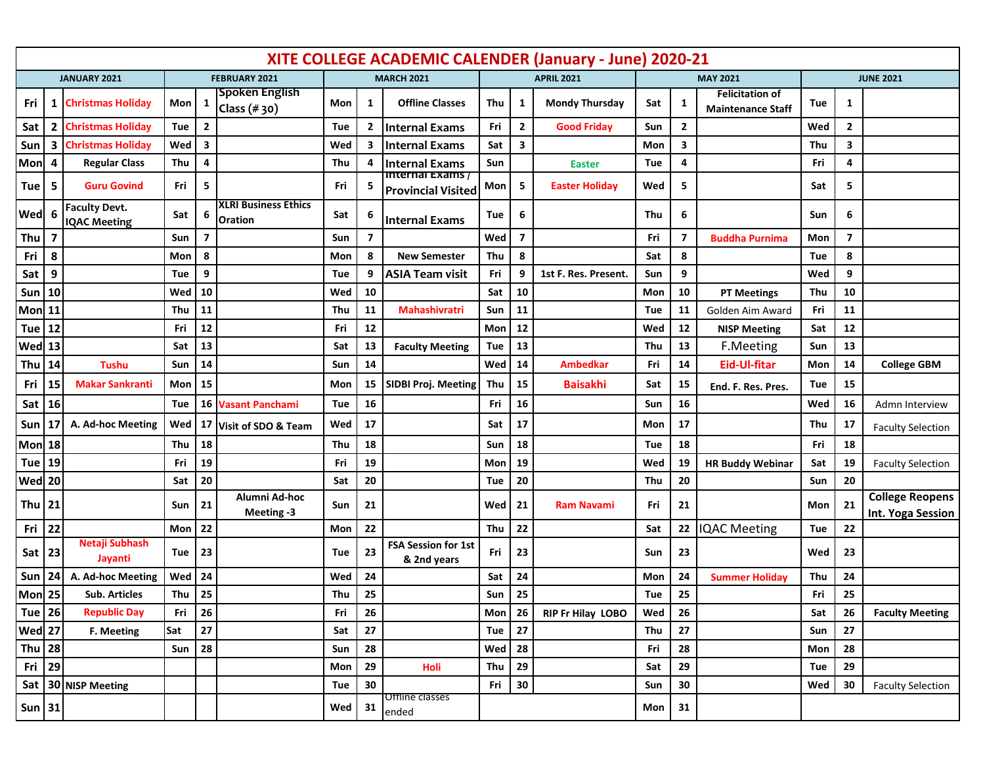| XITE COLLEGE ACADEMIC CALENDER (January - June) 2020-21 |    |                                             |                      |        |                                        |                   |              |                                               |                   |                         |                       |                 |                         |                                                    |                  |    |                                             |
|---------------------------------------------------------|----|---------------------------------------------|----------------------|--------|----------------------------------------|-------------------|--------------|-----------------------------------------------|-------------------|-------------------------|-----------------------|-----------------|-------------------------|----------------------------------------------------|------------------|----|---------------------------------------------|
| JANUARY 2021                                            |    |                                             | <b>FEBRUARY 2021</b> |        |                                        | <b>MARCH 2021</b> |              |                                               | <b>APRIL 2021</b> |                         |                       | <b>MAY 2021</b> |                         |                                                    | <b>JUNE 2021</b> |    |                                             |
| Fri                                                     | 1  | <b>Christmas Holiday</b>                    | Mon                  | 1      | <b>Spoken English</b><br>Class $(*30)$ | Mon               | 1            | <b>Offline Classes</b>                        | Thu               | 1                       | <b>Mondy Thursday</b> | Sat             | 1                       | <b>Felicitation of</b><br><b>Maintenance Staff</b> | Tue              | 1  |                                             |
| Sat                                                     | 2  | <b>Christmas Holiday</b>                    | Tue                  | 2      |                                        | Tue               | $\mathbf{2}$ | <b>Internal Exams</b>                         | Fri               | $\mathbf{2}$            | <b>Good Friday</b>    | Sun             | $\mathbf{2}$            |                                                    | Wed              | 2  |                                             |
| Sun                                                     | З  | <b>Christmas Holiday</b>                    | Wed                  | 3      |                                        | Wed               | 3            | <b>Internal Exams</b>                         | Sat               | 3                       |                       | Mon             | 3                       |                                                    | Thu              | 3  |                                             |
| Mon                                                     | 4  | <b>Regular Class</b>                        | Thu                  | 4      |                                        | Thu               | 4            | <b>Internal Exams</b>                         | Sun               |                         | <b>Easter</b>         | Tue             | 4                       |                                                    | Fri              | 4  |                                             |
| Tue                                                     | 5  | <b>Guru Govind</b>                          | Fri                  | 5      |                                        | Fri               | 5            | Internai Exams /<br><b>Provincial Visited</b> | Mon               | 5                       | <b>Easter Holiday</b> | Wed             | 5                       |                                                    | Sat              | 5  |                                             |
| Wed                                                     | 6  | <b>Faculty Devt.</b><br><b>IQAC Meeting</b> | Sat                  | 6      | XLRI Business Ethics<br>Oration        | Sat               | 6            | <b>Internal Exams</b>                         | Tue               | 6                       |                       | Thu             | 6                       |                                                    | Sun              | 6  |                                             |
| Thu                                                     | 7  |                                             | Sun                  | 7      |                                        | Sun               | 7            |                                               | Wed               | $\overline{\mathbf{z}}$ |                       | Fri             | $\overline{\mathbf{z}}$ | <b>Buddha Purnima</b>                              | Mon              | 7  |                                             |
| Fri                                                     | 8  |                                             | Mon                  | 8      |                                        | Mon               | 8            | <b>New Semester</b>                           | Thu               | 8                       |                       | Sat             | 8                       |                                                    | Tue              | 8  |                                             |
| Sat                                                     | 9  |                                             | Tue                  | 9      |                                        | Tue               | 9            | <b>ASIA Team visit</b>                        | Fri               | 9                       | 1st F. Res. Present.  | Sun             | 9                       |                                                    | Wed              | 9  |                                             |
| Sun                                                     | 10 |                                             | Wed                  | 10     |                                        | Wed               | 10           |                                               | Sat               | 10                      |                       | Mon             | 10                      | <b>PT Meetings</b>                                 | Thu              | 10 |                                             |
| <b>Mon</b>                                              | 11 |                                             | Thu                  | 11     |                                        | Thu               | 11           | <b>Mahashivratri</b>                          | Sun               | 11                      |                       | Tue             | 11                      | Golden Aim Award                                   | Fri              | 11 |                                             |
| Tue                                                     | 12 |                                             | Fri                  | 12     |                                        | Fri               | 12           |                                               | Mon               | 12                      |                       | Wed             | 12                      | <b>NISP Meeting</b>                                | Sat              | 12 |                                             |
| Wed                                                     | 13 |                                             | Sat                  | 13     |                                        | Sat               | 13           | <b>Faculty Meeting</b>                        | Tue               | 13                      |                       | Thu             | 13                      | F.Meeting                                          | Sun              | 13 |                                             |
| Thu                                                     | 14 | <b>Tushu</b>                                | Sun                  | 14     |                                        | Sun               | 14           |                                               | Wed               | 14                      | <b>Ambedkar</b>       | Fri             | 14                      | <b>Eid-Ul-fitar</b>                                | Mon              | 14 | <b>College GBM</b>                          |
| Fri                                                     | 15 | <b>Makar Sankranti</b>                      | Mon                  | 15     |                                        | Mon               | 15           | <b>SIDBI Proj. Meeting</b>                    | Thu               | 15                      | <b>Baisakhi</b>       | Sat             | 15                      | End. F. Res. Pres.                                 | Tue              | 15 |                                             |
| Sat                                                     | 16 |                                             | Tue                  |        | 16 Vasant Panchami                     | Tue               | 16           |                                               | Fri               | 16                      |                       | Sun             | 16                      |                                                    | Wed              | 16 | Admn Interview                              |
| Sun                                                     |    | A. Ad-hoc Meeting                           | Wed                  | 17     | Visit of SDO & Team                    | Wed               | 17           |                                               | Sat               | 17                      |                       | Mon             | 17                      |                                                    | Thu              | 17 | <b>Faculty Selection</b>                    |
| Mon 18                                                  |    |                                             | Thu                  | 18     |                                        | Thu               | 18           |                                               | Sun               | 18                      |                       | Tue             | 18                      |                                                    | Fri              | 18 |                                             |
| Tue                                                     | 19 |                                             | Fri                  | 19     |                                        | Fri               | 19           |                                               | Mon               | 19                      |                       | Wed             | 19                      | <b>HR Buddy Webinar</b>                            | Sat              | 19 | <b>Faculty Selection</b>                    |
| Wed 20                                                  |    |                                             | Sat                  | 20     |                                        | Sat               | 20           |                                               | Tue               | 20                      |                       | Thu             | 20                      |                                                    | Sun              | 20 |                                             |
| Thu $21$                                                |    |                                             | Sun                  | 21     | Alumni Ad-hoc<br>Meeting -3            | Sun               | 21           |                                               | Wed               | 21                      | <b>Ram Navami</b>     | Fri             | 21                      |                                                    | Mon              | 21 | <b>College Reopens</b><br>Int. Yoga Session |
| Fri                                                     | 22 |                                             | Mon                  | 22     |                                        | Mon               | 22           |                                               | Thu               | 22                      |                       | Sat             | 22                      | <b>IQAC Meeting</b>                                | <b>Tue</b>       | 22 |                                             |
| Sat $ 23$                                               |    | Netaji Subhash<br>Jayanti                   | Tue                  | 23     |                                        | Tue               | 23           | <b>FSA Session for 1st</b><br>& 2nd years     | Fri               | 23                      |                       | Sun             | 23                      |                                                    | Wed              | 23 |                                             |
| Sun                                                     | 24 | A. Ad-hoc Meeting                           | Wed                  | 24     |                                        | Wed               | 24           |                                               | Sat               | 24                      |                       | Mon             | 24                      | <b>Summer Holiday</b>                              | Thu              | 24 |                                             |
| Mon 25                                                  |    | <b>Sub. Articles</b>                        | Thu                  | 25     |                                        | Thu               | 25           |                                               | Sun               | 25                      |                       | Tue             | 25                      |                                                    | Fri              | 25 |                                             |
| <b>Tue 26</b>                                           |    | <b>Republic Day</b>                         | Fri                  | 26     |                                        | Fri               | 26           |                                               | Mon               | 26                      | RIP Fr Hilay LOBO     | Wed             | 26                      |                                                    | Sat              | 26 | <b>Faculty Meeting</b>                      |
| <b>Wed</b> 27                                           |    | F. Meeting                                  | Sat                  | $27\,$ |                                        | Sat               | 27           |                                               | Tue               | 27                      |                       | Thu             | 27                      |                                                    | Sun              | 27 |                                             |
| <b>Thu</b> 28                                           |    |                                             | Sun                  | 28     |                                        | Sun               | 28           |                                               | Wed               | 28                      |                       | Fri             | 28                      |                                                    | Mon              | 28 |                                             |
| Fri                                                     | 29 |                                             |                      |        |                                        | Mon               | 29           | Holi                                          | Thu               | ${\bf 29}$              |                       | Sat             | 29                      |                                                    | Tue              | 29 |                                             |
|                                                         |    | Sat 30 NISP Meeting                         |                      |        |                                        | Tue               | 30           |                                               | Fri               | 30                      |                       | Sun             | 30                      |                                                    | Wed              | 30 | <b>Faculty Selection</b>                    |
| $Sun$ 31                                                |    |                                             |                      |        |                                        | Wed               | 31           | Offline classes<br>ended                      |                   |                         |                       | Mon             | 31                      |                                                    |                  |    |                                             |